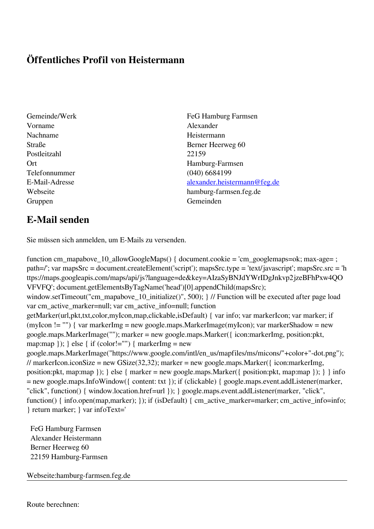## **Öffentliches Profil von Heistermann**

- Vorname Alexander Nachname Heistermann Postleitzahl 22159 Telefonnummer (040) 6684199 Gruppen Gemeinden Gemeinden Gemeinden Gemeinden Gemeinden Gemeinden Gemeinden Gemeinden Gemeinden Gemeinden G
- Gemeinde/Werk FeG Hamburg Farmsen Straße Berner Heerweg 60 Ort Hamburg-Farmsen E-Mail-Adresse [alexander.heistermann@feg.de](mailto:alexander.heistermann@feg.de) Webseite hamburg-farmsen.feg.de

## **E-Mail senden**

Sie müssen sich anmelden, um E-Mails zu versenden.

function cm\_mapabove\_10\_allowGoogleMaps() { document.cookie = 'cm\_googlemaps=ok; max-age= ; path=/'; var mapsSrc = document.createElement('script'); mapsSrc.type = 'text/javascript'; mapsSrc.src = 'h ttps://maps.googleapis.com/maps/api/js?language=de&key=AIzaSyBNJdYWrIDgJnkvp2jzeBFhPxw4QO VFVFQ'; document.getElementsByTagName('head')[0].appendChild(mapsSrc); window.setTimeout("cm\_mapabove\_10\_initialize()", 500); } // Function will be executed after page load var cm\_active\_marker=null; var cm\_active\_info=null; function getMarker(url,pkt,txt,color,myIcon,map,clickable,isDefault) { var info; var markerIcon; var marker; if (myIcon != "") { var markerImg = new google.maps.MarkerImage(myIcon); var markerShadow = new google.maps.MarkerImage(""); marker = new google.maps.Marker({ icon:markerImg, position:pkt, map:map  $\}$ ;  $\}$  else  $\{$  if (color!="")  $\{$  markerImg = new google.maps.MarkerImage("https://www.google.com/intl/en\_us/mapfiles/ms/micons/"+color+"-dot.png"); // markerIcon.iconSize = new GSize(32,32); marker = new google.maps.Marker({ $i$ con:markerImg, position:pkt, map:map }); } else { marker = new google.maps.Marker({ position:pkt, map:map }); } } info = new google.maps.InfoWindow({ content: txt }); if (clickable) { google.maps.event.addListener(marker, "click", function() { window.location.href=url }); } google.maps.event.addListener(marker, "click", function() { info.open(map,marker); }); if (isDefault) { cm\_active\_marker=marker; cm\_active\_info=info; } return marker; } var infoText='

 FeG Hamburg Farmsen Alexander Heistermann Berner Heerweg 60 22159 Hamburg-Farmsen

Webseite:hamburg-farmsen.feg.de